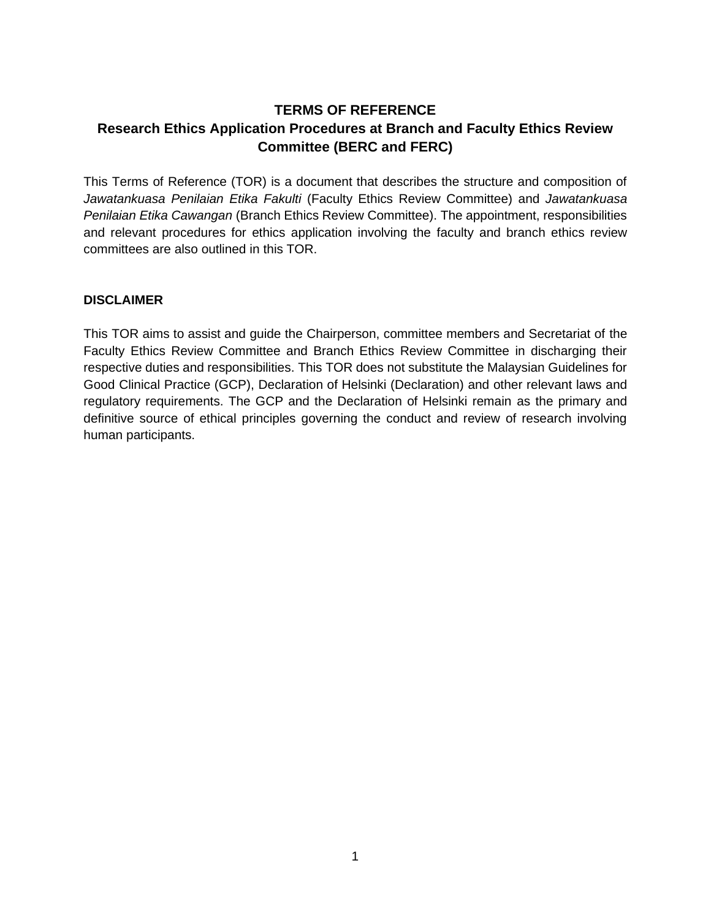## **TERMS OF REFERENCE Research Ethics Application Procedures at Branch and Faculty Ethics Review Committee (BERC and FERC)**

This Terms of Reference (TOR) is a document that describes the structure and composition of *Jawatankuasa Penilaian Etika Fakulti* (Faculty Ethics Review Committee) and *Jawatankuasa Penilaian Etika Cawangan* (Branch Ethics Review Committee). The appointment, responsibilities and relevant procedures for ethics application involving the faculty and branch ethics review committees are also outlined in this TOR.

## **DISCLAIMER**

This TOR aims to assist and guide the Chairperson, committee members and Secretariat of the Faculty Ethics Review Committee and Branch Ethics Review Committee in discharging their respective duties and responsibilities. This TOR does not substitute the Malaysian Guidelines for Good Clinical Practice (GCP), Declaration of Helsinki (Declaration) and other relevant laws and regulatory requirements. The GCP and the Declaration of Helsinki remain as the primary and definitive source of ethical principles governing the conduct and review of research involving human participants.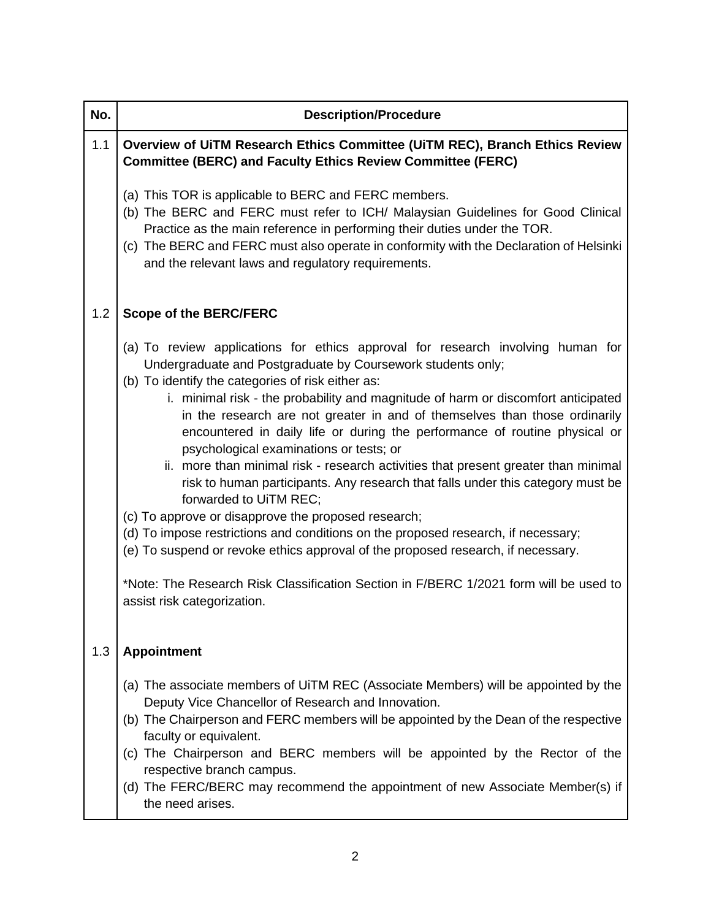| No. | <b>Description/Procedure</b>                                                                                                                                                                                                                                                                                                                                                                                                                                                                                                                                                                                                                                                                                                                                                                                                                                                                                                                                                                                                                               |
|-----|------------------------------------------------------------------------------------------------------------------------------------------------------------------------------------------------------------------------------------------------------------------------------------------------------------------------------------------------------------------------------------------------------------------------------------------------------------------------------------------------------------------------------------------------------------------------------------------------------------------------------------------------------------------------------------------------------------------------------------------------------------------------------------------------------------------------------------------------------------------------------------------------------------------------------------------------------------------------------------------------------------------------------------------------------------|
| 1.1 | Overview of UiTM Research Ethics Committee (UiTM REC), Branch Ethics Review<br><b>Committee (BERC) and Faculty Ethics Review Committee (FERC)</b>                                                                                                                                                                                                                                                                                                                                                                                                                                                                                                                                                                                                                                                                                                                                                                                                                                                                                                          |
|     | (a) This TOR is applicable to BERC and FERC members.<br>(b) The BERC and FERC must refer to ICH/ Malaysian Guidelines for Good Clinical<br>Practice as the main reference in performing their duties under the TOR.<br>(c) The BERC and FERC must also operate in conformity with the Declaration of Helsinki<br>and the relevant laws and regulatory requirements.                                                                                                                                                                                                                                                                                                                                                                                                                                                                                                                                                                                                                                                                                        |
| 1.2 | <b>Scope of the BERC/FERC</b>                                                                                                                                                                                                                                                                                                                                                                                                                                                                                                                                                                                                                                                                                                                                                                                                                                                                                                                                                                                                                              |
|     | (a) To review applications for ethics approval for research involving human for<br>Undergraduate and Postgraduate by Coursework students only;<br>(b) To identify the categories of risk either as:<br>i. minimal risk - the probability and magnitude of harm or discomfort anticipated<br>in the research are not greater in and of themselves than those ordinarily<br>encountered in daily life or during the performance of routine physical or<br>psychological examinations or tests; or<br>ii. more than minimal risk - research activities that present greater than minimal<br>risk to human participants. Any research that falls under this category must be<br>forwarded to UiTM REC;<br>(c) To approve or disapprove the proposed research;<br>(d) To impose restrictions and conditions on the proposed research, if necessary;<br>(e) To suspend or revoke ethics approval of the proposed research, if necessary.<br>*Note: The Research Risk Classification Section in F/BERC 1/2021 form will be used to<br>assist risk categorization. |
| 1.3 | <b>Appointment</b>                                                                                                                                                                                                                                                                                                                                                                                                                                                                                                                                                                                                                                                                                                                                                                                                                                                                                                                                                                                                                                         |
|     | (a) The associate members of UITM REC (Associate Members) will be appointed by the<br>Deputy Vice Chancellor of Research and Innovation.<br>(b) The Chairperson and FERC members will be appointed by the Dean of the respective<br>faculty or equivalent.<br>(c) The Chairperson and BERC members will be appointed by the Rector of the<br>respective branch campus.<br>(d) The FERC/BERC may recommend the appointment of new Associate Member(s) if<br>the need arises.                                                                                                                                                                                                                                                                                                                                                                                                                                                                                                                                                                                |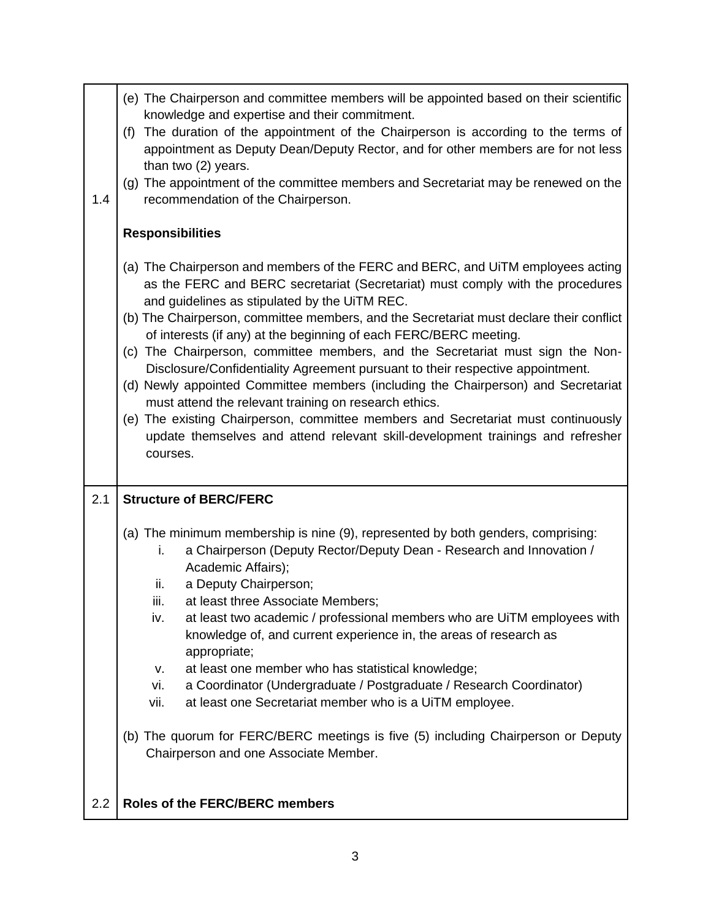| 1.4 | (e) The Chairperson and committee members will be appointed based on their scientific<br>knowledge and expertise and their commitment.<br>The duration of the appointment of the Chairperson is according to the terms of<br>(f)<br>appointment as Deputy Dean/Deputy Rector, and for other members are for not less<br>than two (2) years.<br>(g) The appointment of the committee members and Secretariat may be renewed on the<br>recommendation of the Chairperson.                                                                                                                                                                                                                                                                                                                                                                                                                  |
|-----|------------------------------------------------------------------------------------------------------------------------------------------------------------------------------------------------------------------------------------------------------------------------------------------------------------------------------------------------------------------------------------------------------------------------------------------------------------------------------------------------------------------------------------------------------------------------------------------------------------------------------------------------------------------------------------------------------------------------------------------------------------------------------------------------------------------------------------------------------------------------------------------|
|     | <b>Responsibilities</b>                                                                                                                                                                                                                                                                                                                                                                                                                                                                                                                                                                                                                                                                                                                                                                                                                                                                  |
|     | (a) The Chairperson and members of the FERC and BERC, and UiTM employees acting<br>as the FERC and BERC secretariat (Secretariat) must comply with the procedures<br>and guidelines as stipulated by the UiTM REC.<br>(b) The Chairperson, committee members, and the Secretariat must declare their conflict<br>of interests (if any) at the beginning of each FERC/BERC meeting.<br>(c) The Chairperson, committee members, and the Secretariat must sign the Non-<br>Disclosure/Confidentiality Agreement pursuant to their respective appointment.<br>(d) Newly appointed Committee members (including the Chairperson) and Secretariat<br>must attend the relevant training on research ethics.<br>(e) The existing Chairperson, committee members and Secretariat must continuously<br>update themselves and attend relevant skill-development trainings and refresher<br>courses. |
| 2.1 | <b>Structure of BERC/FERC</b>                                                                                                                                                                                                                                                                                                                                                                                                                                                                                                                                                                                                                                                                                                                                                                                                                                                            |
|     | (a) The minimum membership is nine (9), represented by both genders, comprising:<br>a Chairperson (Deputy Rector/Deputy Dean - Research and Innovation /<br>i.<br>Academic Affairs);<br>a Deputy Chairperson;<br>ii.<br>iii.<br>at least three Associate Members;<br>at least two academic / professional members who are UiTM employees with<br>iv.<br>knowledge of, and current experience in, the areas of research as<br>appropriate;<br>at least one member who has statistical knowledge;<br>v.<br>a Coordinator (Undergraduate / Postgraduate / Research Coordinator)<br>vi.<br>vii.<br>at least one Secretariat member who is a UiTM employee.<br>(b) The quorum for FERC/BERC meetings is five (5) including Chairperson or Deputy<br>Chairperson and one Associate Member.                                                                                                     |
| 2.2 | <b>Roles of the FERC/BERC members</b>                                                                                                                                                                                                                                                                                                                                                                                                                                                                                                                                                                                                                                                                                                                                                                                                                                                    |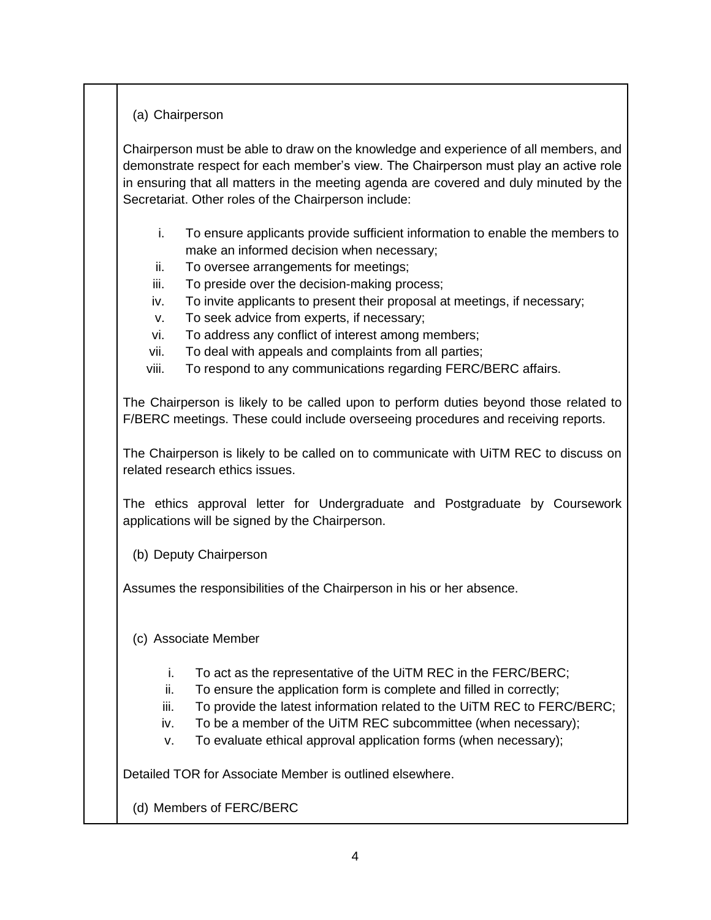## (a) Chairperson

Chairperson must be able to draw on the knowledge and experience of all members, and demonstrate respect for each member's view. The Chairperson must play an active role in ensuring that all matters in the meeting agenda are covered and duly minuted by the Secretariat. Other roles of the Chairperson include:

- i. To ensure applicants provide sufficient information to enable the members to make an informed decision when necessary;
- ii. To oversee arrangements for meetings;
- iii. To preside over the decision-making process;
- iv. To invite applicants to present their proposal at meetings, if necessary;
- v. To seek advice from experts, if necessary;
- vi. To address any conflict of interest among members;
- vii. To deal with appeals and complaints from all parties;
- viii. To respond to any communications regarding FERC/BERC affairs.

The Chairperson is likely to be called upon to perform duties beyond those related to F/BERC meetings. These could include overseeing procedures and receiving reports.

The Chairperson is likely to be called on to communicate with UiTM REC to discuss on related research ethics issues.

The ethics approval letter for Undergraduate and Postgraduate by Coursework applications will be signed by the Chairperson.

(b) Deputy Chairperson

Assumes the responsibilities of the Chairperson in his or her absence.

- (c) Associate Member
	- i. To act as the representative of the UiTM REC in the FERC/BERC;
	- ii. To ensure the application form is complete and filled in correctly;
	- iii. To provide the latest information related to the UiTM REC to FERC/BERC;
	- iv. To be a member of the UiTM REC subcommittee (when necessary);
	- v. To evaluate ethical approval application forms (when necessary);

Detailed TOR for Associate Member is outlined elsewhere.

(d) Members of FERC/BERC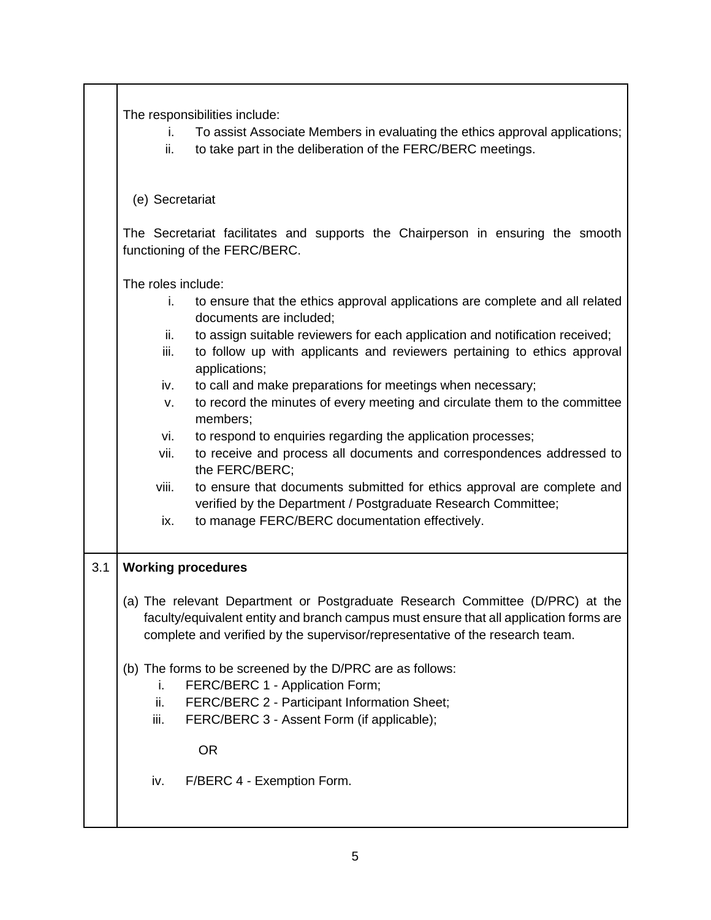|     | The responsibilities include:<br>To assist Associate Members in evaluating the ethics approval applications;<br>İ.<br>ii.<br>to take part in the deliberation of the FERC/BERC meetings.                                                                |
|-----|---------------------------------------------------------------------------------------------------------------------------------------------------------------------------------------------------------------------------------------------------------|
|     | (e) Secretariat                                                                                                                                                                                                                                         |
|     | The Secretariat facilitates and supports the Chairperson in ensuring the smooth<br>functioning of the FERC/BERC.                                                                                                                                        |
|     | The roles include:                                                                                                                                                                                                                                      |
|     | to ensure that the ethics approval applications are complete and all related<br>i.<br>documents are included;                                                                                                                                           |
|     | to assign suitable reviewers for each application and notification received;<br>ii.<br>to follow up with applicants and reviewers pertaining to ethics approval<br>iii.<br>applications;                                                                |
|     | to call and make preparations for meetings when necessary;<br>iv.<br>to record the minutes of every meeting and circulate them to the committee<br>٧.                                                                                                   |
|     | members;                                                                                                                                                                                                                                                |
|     | to respond to enquiries regarding the application processes;<br>vi.<br>vii.<br>to receive and process all documents and correspondences addressed to<br>the FERC/BERC;                                                                                  |
|     | viii.<br>to ensure that documents submitted for ethics approval are complete and<br>verified by the Department / Postgraduate Research Committee;                                                                                                       |
|     | to manage FERC/BERC documentation effectively.<br>ix.                                                                                                                                                                                                   |
| 3.1 | <b>Working procedures</b>                                                                                                                                                                                                                               |
|     | (a) The relevant Department or Postgraduate Research Committee (D/PRC) at the<br>faculty/equivalent entity and branch campus must ensure that all application forms are<br>complete and verified by the supervisor/representative of the research team. |
|     | (b) The forms to be screened by the D/PRC are as follows:<br>FERC/BERC 1 - Application Form;<br>i.                                                                                                                                                      |
|     | FERC/BERC 2 - Participant Information Sheet;<br>ii.<br>FERC/BERC 3 - Assent Form (if applicable);<br>iii.                                                                                                                                               |
|     | <b>OR</b>                                                                                                                                                                                                                                               |
|     | F/BERC 4 - Exemption Form.<br>iv.                                                                                                                                                                                                                       |
|     |                                                                                                                                                                                                                                                         |